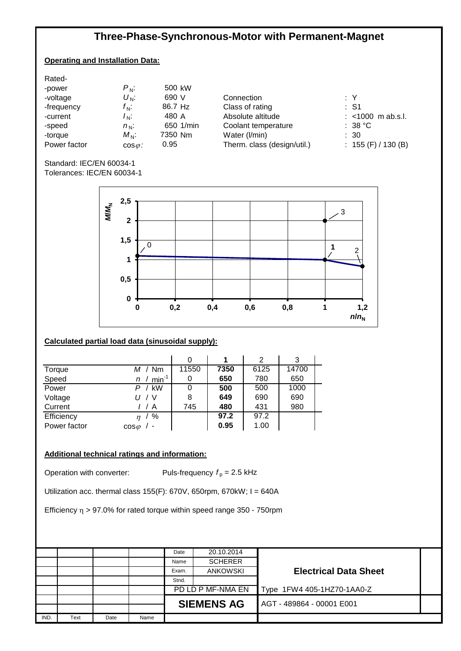# **Three-Phase-Synchronous-Motor with Permanent-Magnet**

## **Operating and Installation Data:**

| Rated-       |                 |           |  |
|--------------|-----------------|-----------|--|
| -power       | $P_{\rm N}$ :   | 500 kW    |  |
| -voltage     | $U_{\rm N}$ :   | 690 V     |  |
| -frequency   | $f_{\rm N}$ :   | 86.7 Hz   |  |
| -current     | $I_{\rm N}$ :   | 480 A     |  |
| -speed       | $n_{\rm N}$ :   | 650 1/min |  |
| -torque      | $M_{\rm N}$ :   | 7350 Nm   |  |
| Power factor | $cos \varphi$ : | 0.95      |  |
|              |                 |           |  |

1 Connection **Victor Victor Victor Victor Victor Victor Victor Victor Victor Victor Victor Victor Victor Victor Victor Victor Victor Victor Victor Victor Victor Victor Victor V** Class of rating<br>Absolute altitude Coolant temperature : 38 °C Water (l/min) : 30<br>Therm. class (design/util.) : 155 (F) / 130 (B) Therm. class (design/util.)

: <1000 m ab.s.l.

Standard: IEC/EN 60034-1 Tolerances: IEC/EN 60034-1



## **Calculated partial load data (sinusoidal supply):**

|              |                     |       |      | 2    | 3     |  |
|--------------|---------------------|-------|------|------|-------|--|
| Torque       | M / Nm              | 11550 | 7350 | 6125 | 14700 |  |
| Speed        | $min^{-1}$<br>n     | 0     | 650  | 780  | 650   |  |
| Power        | $P /$ kW            | 0     | 500  | 500  | 1000  |  |
| Voltage      | U / V               | 8     | 649  | 690  | 690   |  |
| Current      | A                   | 745   | 480  | 431  | 980   |  |
| Efficiency   | %<br>n <sub>1</sub> |       | 97.2 | 97.2 |       |  |
| Power factor | $\cos \varphi$      |       | 0.95 | 1.00 |       |  |

### **Additional technical ratings and information:**

Operation with converter: Puls-frequency  $f_p = 2.5$  kHz

Utilization acc. thermal class 155(F): 670V, 650rpm, 670kW; I = 640A

Efficiency  $\eta$  > 97.0% for rated torque within speed range 350 - 750rpm

|      |      |      |      | Date  | 20.10.2014        |                              |  |
|------|------|------|------|-------|-------------------|------------------------------|--|
|      |      |      |      | Name  | <b>SCHERER</b>    |                              |  |
|      |      |      |      | Exam. | <b>ANKOWSKI</b>   | <b>Electrical Data Sheet</b> |  |
|      |      |      |      | Stnd. |                   |                              |  |
|      |      |      |      |       | PD LD P MF-NMA EN | Type 1FW4 405-1HZ70-1AA0-Z   |  |
|      |      |      |      |       | <b>SIEMENS AG</b> | AGT-489864-00001E001         |  |
|      |      |      |      |       |                   |                              |  |
| IND. | Text | Date | Name |       |                   |                              |  |